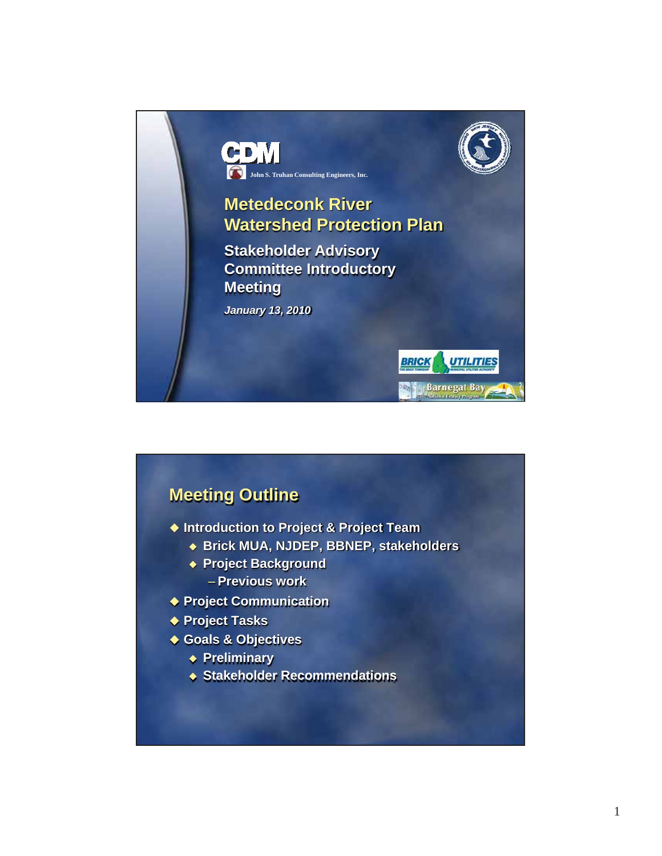

## **Meeting Outline**

- **Introduction to Project & Project Team**
	- **Brick MUA, NJDEP, BBNEP, stakeholders**
	- **Project Background** – **Previous work**
- **Project Communication**
- ◆ Project Tasks
- **Goals & Objectives** 
	- **Preliminary**
	- **Stakeholder Recommendations**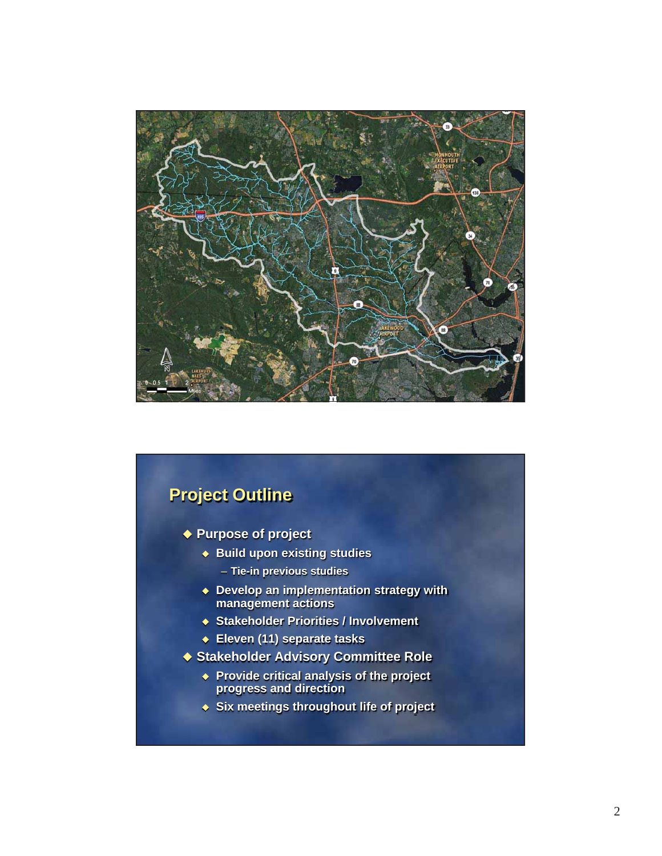

# **Project Outline Purpose of project Build upon existing studies** – **Tie-in previous studies Develop an implementation strategy with management actions Stakeholder Priorities / Involvement Eleven (11) separate tasks Stakeholder Advisory Committee Role Provide critical analysis of the project progress and direction Six meetings throughout life of project**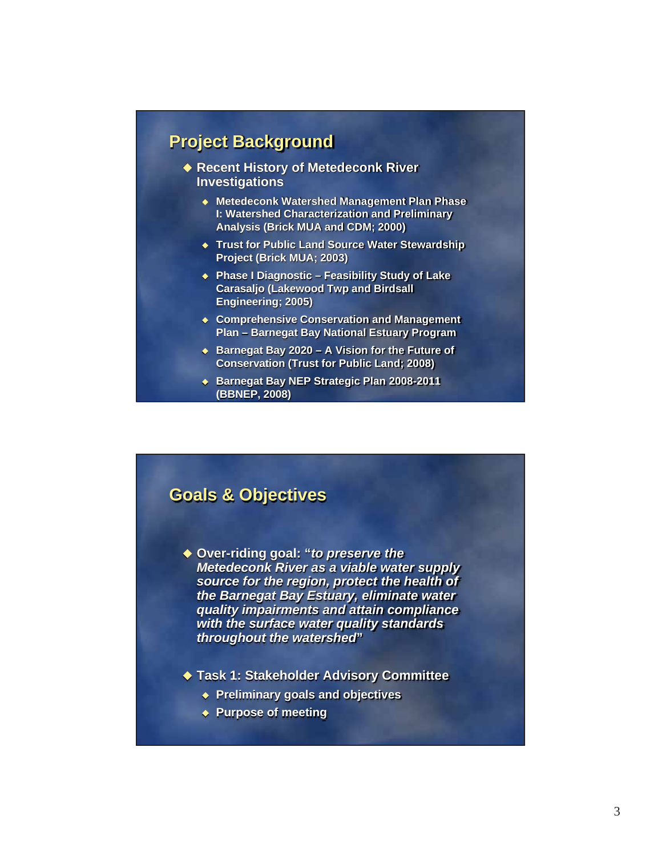#### **Project Background**

- ◆ Recent History of Metedeconk River **Investigations**
	- **Metedeconk Watershed Management Plan Phase I: Watershed Characterization and Preliminary Analysis (Brick MUA and CDM; 2000)**
	- **Trust for Public Land Source Water Stewardship Project (Brick MUA; 2003)**
	- **Phase I Diagnostic Feasibility Study of Lake Carasaljo (Lakewood Twp and Birdsall Engineering; 2005)**
	- **Comprehensive Conservation and Management Plan – Barnegat Bay National Estuary Program**
	- ◆ Barnegat Bay 2020 A Vision for the Future of **Conservation (Trust for Public Land; 2008)**
	- **Barnegat Bay NEP Strategic Plan 2008-2011 (BBNEP, 2008)**

#### **Goals & Objectives**

- **Over-riding goal: "***to preserve the Metedeconk River as a viable water supply source for the region, protect the health of the Barnegat Bay Estuary, eliminate water quality impairments and attain compliance with the surface water quality standards throughout the watershed***"**
- **Task 1: Stakeholder Advisory Committee**
	- **Preliminary goals and objectives**
	- **Purpose of meeting**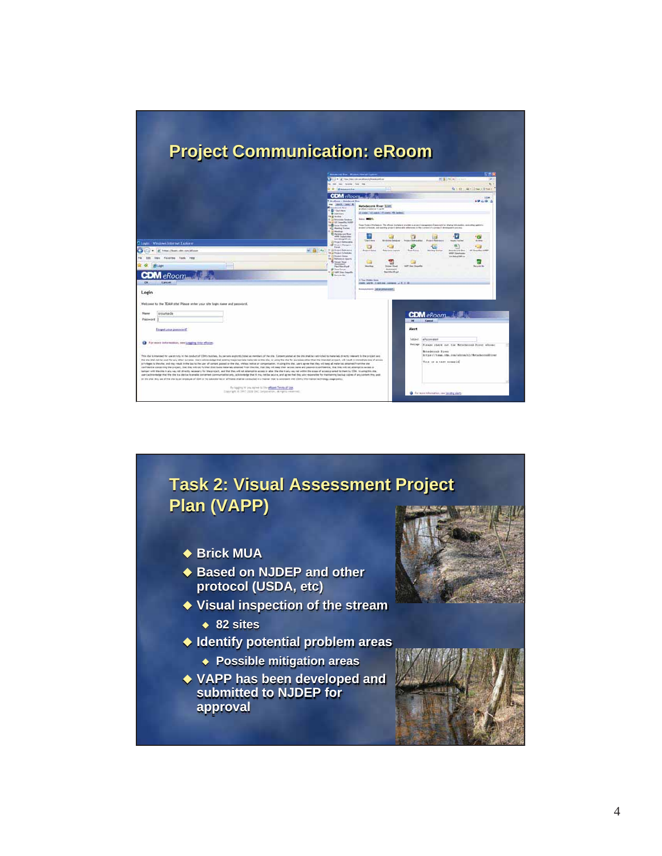

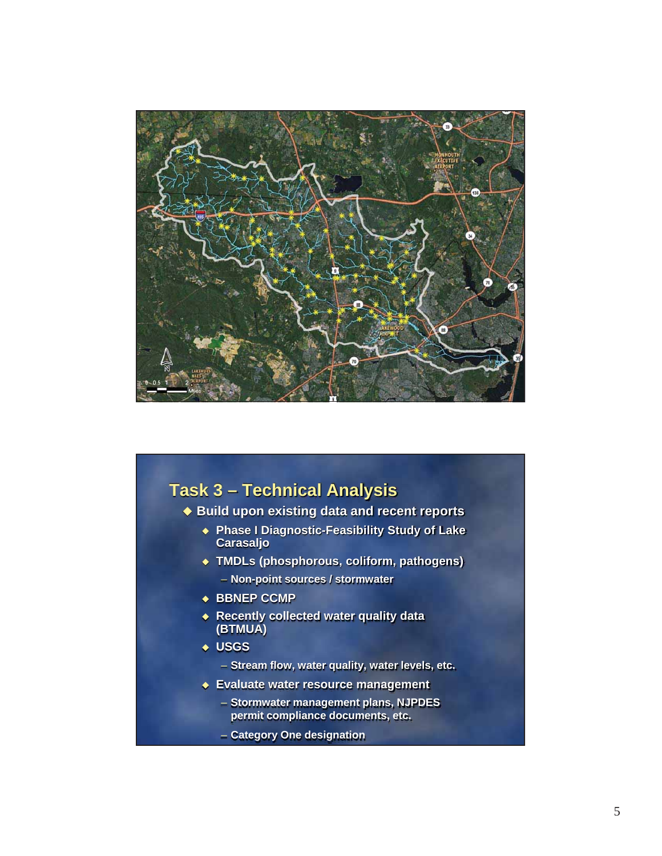

#### **Task 3 – Technical Analysis**

#### **Build upon existing data and recent reports**

- **Phase I Diagnostic-Feasibility Study of Lake Carasaljo**
- **TMDLs (phosphorous, coliform, pathogens)**
	- **Non-point sources / stormwater**
- ◆ BBNEP CCMP
- **Recently collected water quality data (BTMUA)**
- **USGS**
	- **Stream flow, water quality, water levels, etc.**
- **Evaluate water resource management** 
	- **Stormwater management plans, NJPDES permit compliance documents, etc.**
	- **Category One designation**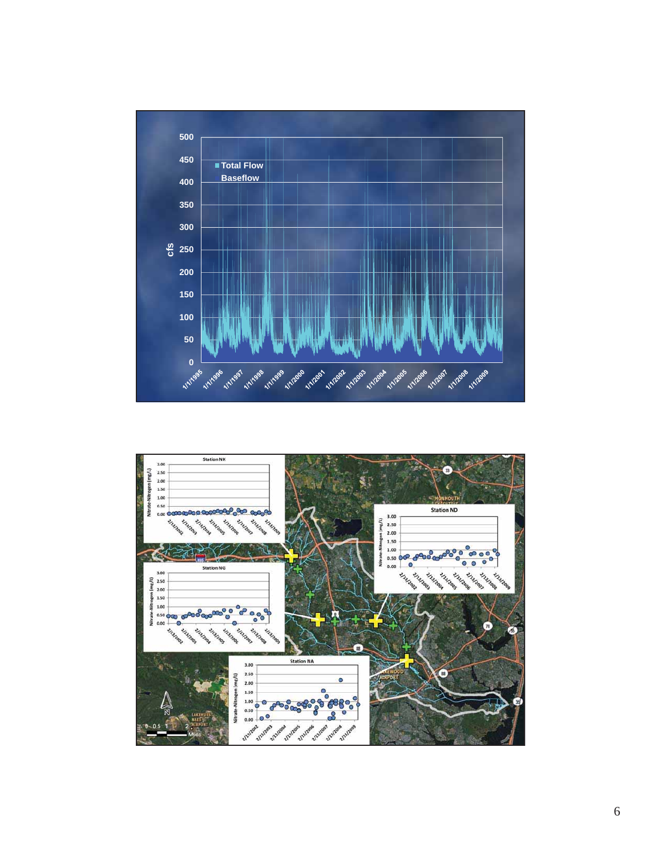

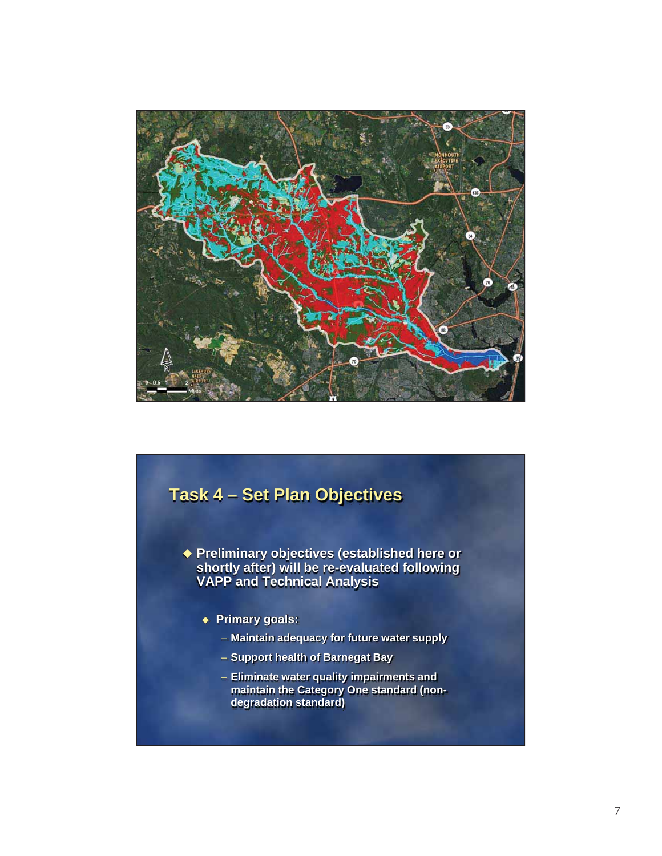

## **Task 4 – Set Plan Objectives**

 **Preliminary objectives (established here or shortly after) will be re-evaluated following VAPP and Technical Analysis**

- **Primary goals:** 
	- **Maintain adequacy for future water supply**
	- **Support health of Barnegat Bay**
	- **Eliminate water quality impairments and maintain the Category One standard (nondegradation standard)**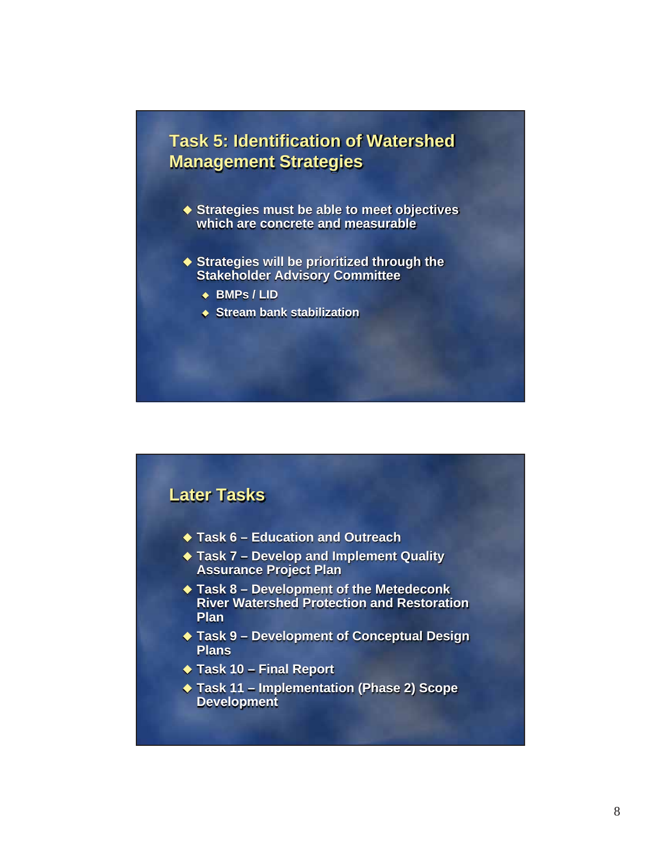#### **Task 5: Identification of Watershed Management Strategies**

- ◆ Strategies must be able to meet objectives **which are concrete and measurable**
- ◆ Strategies will be prioritized through the **Stakeholder Advisory Committee**
	- **BMPs / LID**
	- **Stream bank stabilization**

#### **Later Tasks**

- **Task 6 Education and Outreach**
- **Task 7 Develop and Implement Quality Assurance Project Plan**
- **Task 8 Development of the Metedeconk River Watershed Protection and Restoration Plan**
- **Task 9 Development of Conceptual Design Plans**
- ◆ Task 10 Final Report
- **Task 11 Implementation (Phase 2) Scope Development**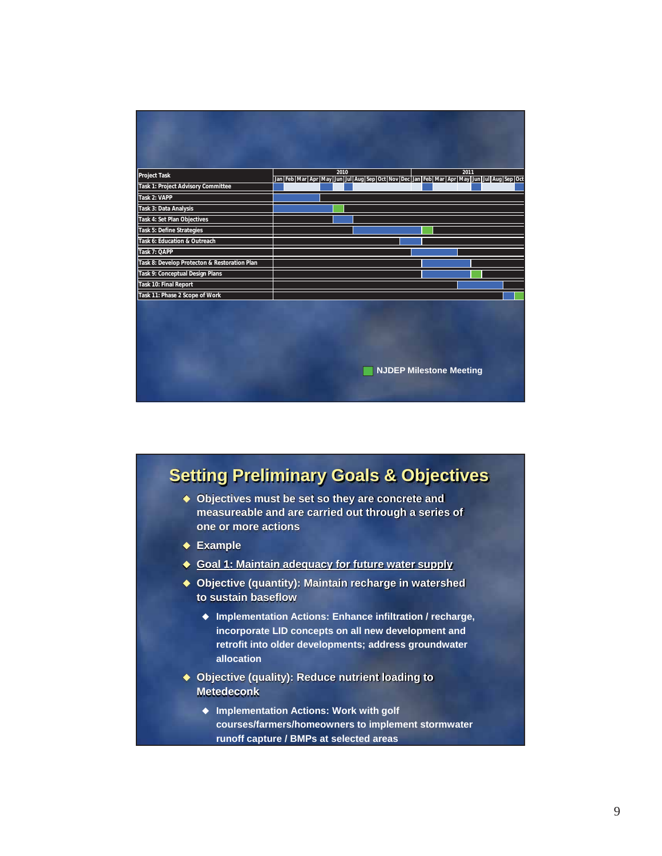|                                              | 2010<br>2011                                                                                                                    |
|----------------------------------------------|---------------------------------------------------------------------------------------------------------------------------------|
| <b>Project Task</b>                          | Jan Feb   Mar   Apr   May   Jun   Jul   Aug   Sep   Oct   Nov   Dec   Jan   Feb   Mar   Apr   May   Jun   Jul   Aug   Sep   Oct |
| Task 1: Project Advisory Committee           |                                                                                                                                 |
| Task 2: VAPP                                 |                                                                                                                                 |
| Task 3: Data Analysis                        |                                                                                                                                 |
| Task 4: Set Plan Objectives                  |                                                                                                                                 |
| Task 5: Define Strategies                    |                                                                                                                                 |
| Task 6: Education & Outreach                 |                                                                                                                                 |
| Task 7: QAPP                                 |                                                                                                                                 |
| Task 8: Develop Protecton & Restoration Plan |                                                                                                                                 |
| Task 9: Conceptual Design Plans              |                                                                                                                                 |
| Task 10: Final Report                        |                                                                                                                                 |
| Task 11: Phase 2 Scope of Work               |                                                                                                                                 |
|                                              |                                                                                                                                 |
|                                              |                                                                                                                                 |
|                                              |                                                                                                                                 |
|                                              |                                                                                                                                 |
|                                              |                                                                                                                                 |
|                                              |                                                                                                                                 |
|                                              | <b>NJDEP Milestone Meeting</b>                                                                                                  |
|                                              |                                                                                                                                 |
|                                              |                                                                                                                                 |

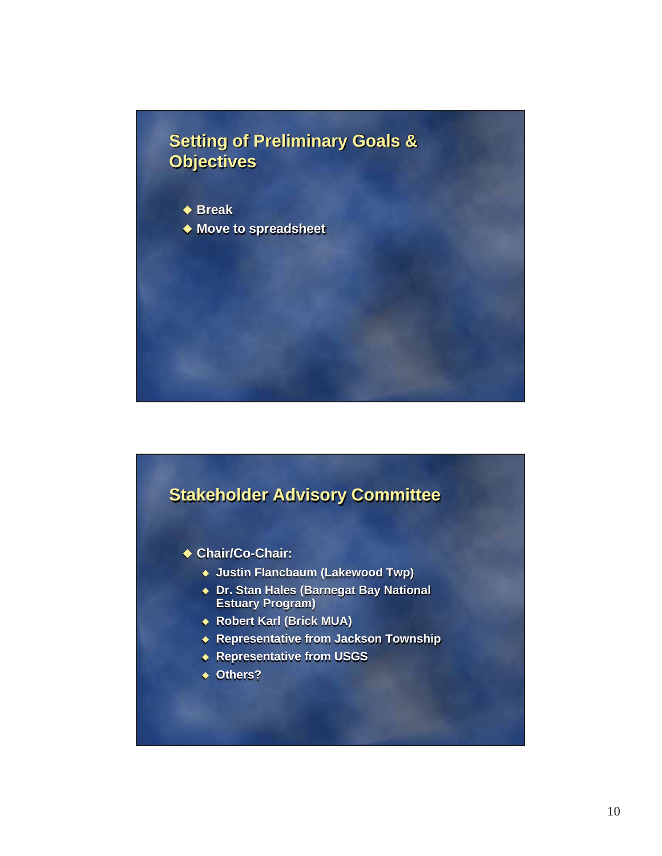## **Setting of Preliminary Goals & Objectives**

- ◆ Break
- ◆ Move to spreadsheet

#### **Stakeholder Advisory Committee**

- **Chair/Co-Chair:**
	- **Justin Flancbaum (Lakewood Twp)**
	- **Dr. Stan Hales (Barnegat Bay National Estuary Program)**
	- **Robert Karl (Brick MUA)**
	- **Representative from Jackson Township**
	- **Representative from USGS**
	- **Others?**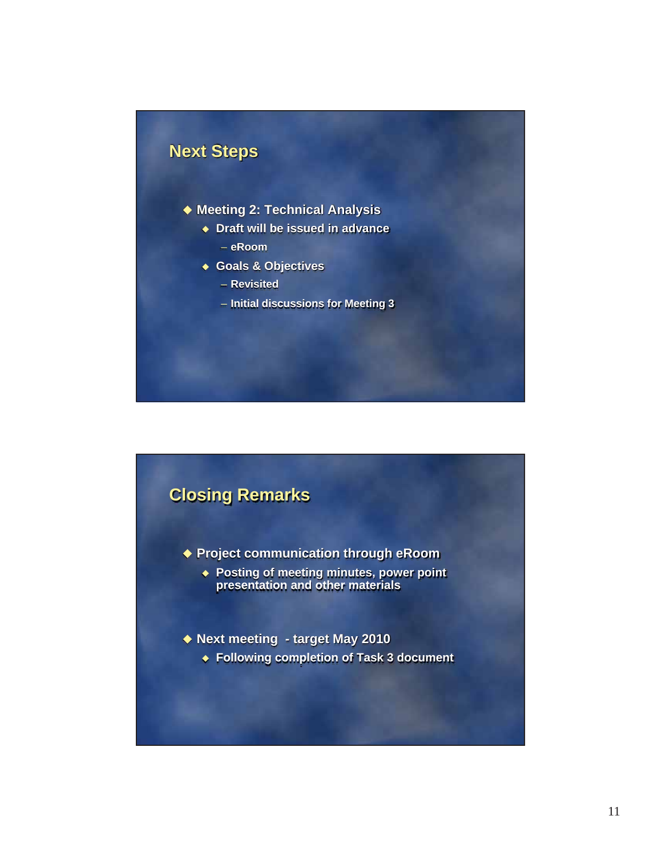